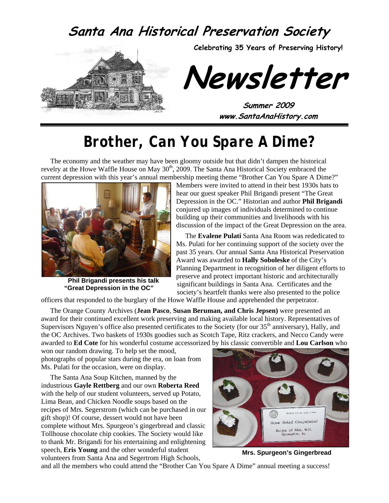# **Santa Ana Historical Preservation Society**





**Newsletter** 

**Summer 2009 www.SantaAnaHistory.com** 

# *Brother, Can You Spare A Dime?*

The economy and the weather may have been gloomy outside but that didn't dampen the historical revelry at the Howe Waffle House on May 30<sup>th</sup>, 2009. The Santa Ana Historical Society embraced the current depression with this year's annual membership meeting theme "Brother Can You Spare A Dime?"



**Phil Brigandi presents his talk "Great Depression in the OC"** 

Members were invited to attend in their best 1930s hats to hear our guest speaker Phil Brigandi present "The Great Depression in the OC." Historian and author **Phil Brigandi** conjured up images of individuals determined to continue building up their communities and livelihoods with his discussion of the impact of the Great Depression on the area.

The **Evalene Pulati** Santa Ana Room was rededicated to Ms. Pulati for her continuing support of the society over the past 35 years. Our annual Santa Ana Historical Preservation Award was awarded to **Hally Soboleske** of the City's Planning Department in recognition of her diligent efforts to preserve and protect important historic and architecturally significant buildings in Santa Ana. Certificates and the society's heartfelt thanks were also presented to the police

officers that responded to the burglary of the Howe Waffle House and apprehended the perpetrator.

The Orange County Archives (**Jean Pasco**, **Susan Beruman, and Chris Jepsen)** were presented an award for their continued excellent work preserving and making available local history. Representatives of Supervisors Nguyen's office also presented certificates to the Society (for our 35<sup>th</sup> anniversary), Hally, and the OC Archives. Two baskets of 1930s goodies such as Scotch Tape, Ritz crackers, and Necco Candy were awarded to **Ed Cote** for his wonderful costume accessorized by his classic convertible and **Lou Carlson** who

won our random drawing. To help set the mood, photographs of popular stars during the era, on loan from Ms. Pulati for the occasion, were on display.

The Santa Ana Soup Kitchen, manned by the industrious **Gayle Rettberg** and our own **Roberta Reed** with the help of our student volunteers, served up Potato, Lima Bean, and Chicken Noodle soups based on the recipes of Mrs. Segerstrom (which can be purchased in our gift shop)! Of course, dessert would not have been complete without Mrs. Spurgeon's gingerbread and classic Tollhouse chocolate chip cookies. The Society would like to thank Mr. Brigandi for his entertaining and enlightening speech, **Eris Young** and the other wonderful student volunteers from Santa Ana and Segertrom High Schools,



**Mrs. Spurgeon's Gingerbread** 

and all the members who could attend the "Brother Can You Spare A Dime" annual meeting a success!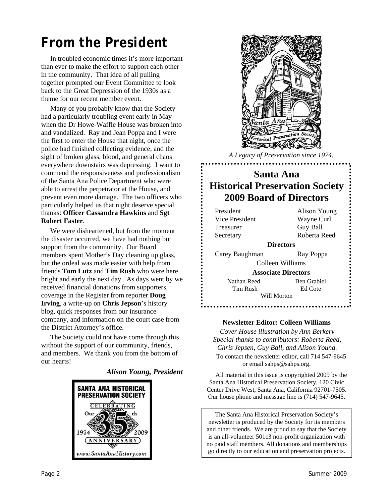# *From the President*

In troubled economic times it's more important than ever to make the effort to support each other in the community. That idea of all pulling together prompted our Event Committee to look back to the Great Depression of the 1930s as a theme for our recent member event.

Many of you probably know that the Society had a particularly troubling event early in May when the Dr Howe-Waffle House was broken into and vandalized. Ray and Jean Poppa and I were the first to enter the House that night, once the police had finished collecting evidence, and the sight of broken glass, blood, and general chaos everywhere downstairs was depressing. I want to commend the responsiveness and professionalism of the Santa Ana Police Department who were able to arrest the perpetrator at the House, and prevent even more damage. The two officers who particularly helped us that night deserve special thanks: **Officer Cassandra Hawkins** and **Sgt Robert Faster**.

We were disheartened, but from the moment the disaster occurred, we have had nothing but support from the community. Our Board members spent Mother's Day cleaning up glass, but the ordeal was made easier with help from friends **Tom Lutz** and **Tim Rush** who were here bright and early the next day. As days went by we received financial donations from supporters, coverage in the Register from reporter **Doug Irving**, a write-up on **Chris Jepson**'s history blog, quick responses from our insurance company, and information on the court case from the District Attorney's office.

The Society could not have come through this without the support of our community, friends, and members. We thank you from the bottom of our hearts!

#### *Alison Young, President*





*A Legacy of Preservation since 1974.* 

## **Santa Ana Historical Preservation Society 2009 Board of Directors**

President Alison Young Vice President Wayne Curl Treasurer Guy Ball Secretary Roberta Reed Carey Baughman Ray Poppa Nathan Reed Ben Grabiel

**Directors** 

Colleen Williams

**Associate Directors** 

Tim Rush Ed Cote

Will Morton

#### **Newsletter Editor: Colleen Williams**

*Cover House illustration by Ann Berkery Special thanks to contributors: Roberta Reed, Chris Jepsen, Guy Ball, and Alison Young.*  To contact the newsletter editor, call 714 547-9645 or email sahps@sahps.org.

All material in this issue is copyrighted 2009 by the Santa Ana Historical Preservation Society, 120 Civic Center Drive West, Santa Ana, California 92701-7505. Our house phone and message line is (714) 547-9645.

The Santa Ana Historical Preservation Society's newsletter is produced by the Society for its members and other friends. We are proud to say that the Society is an all-volunteer 501c3 non-profit organization with no paid staff members. All donations and memberships go directly to our education and preservation projects.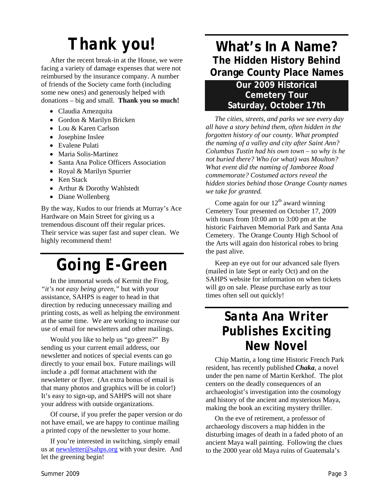# *Thank you!*

After the recent break-in at the House, we were facing a variety of damage expenses that were not reimbursed by the insurance company. A number of friends of the Society came forth (including some new ones) and generously helped with donations – big and small. **Thank you so much!** 

- Claudia Amezquita
- Gordon & Marilyn Bricken
- Lou & Karen Carlson
- Josephine Inslee
- Evalene Pulati
- Maria Solis-Martinez
- Santa Ana Police Officers Association
- Royal & Marilyn Spurrier
- Ken Stack
- Arthur & Dorothy Wahlstedt
- Diane Wollenberg

By the way, Kudos to our friends at Murray's Ace Hardware on Main Street for giving us a tremendous discount off their regular prices. Their service was super fast and super clean. We highly recommend them!

# *Going E-Green*

In the immortal words of Kermit the Frog, *"it's not easy being green,"* but with your assistance, SAHPS is eager to head in that direction by reducing unnecessary mailing and printing costs, as well as helping the environment at the same time. We are working to increase our use of email for newsletters and other mailings.

Would you like to help us "go green?" By sending us your current email address, our newsletter and notices of special events can go directly to your email box. Future mailings will include a .pdf format attachment with the newsletter or flyer. (An extra bonus of email is that many photos and graphics will be in color!) It's easy to sign-up, and SAHPS will not share your address with outside organizations.

Of course, if you prefer the paper version or do not have email, we are happy to continue mailing a printed copy of the newsletter to your home.

If you're interested in switching, simply email us at [newsletter@sahps.org](mailto:newsletter@sahps.org) with your desire. And let the greening begin!

## **What's In A Name? The Hidden History Behind Orange County Place Names**

#### **Our 2009 Historical Cemetery Tour Saturday, October 17th**

*The cities, streets, and parks we see every day all have a story behind them, often hidden in the forgotten history of our county. What prompted the naming of a valley and city after Saint Ann? Columbus Tustin had his own town – so why is he not buried there? Who (or what) was Moulton? What event did the naming of Jamboree Road commemorate? Costumed actors reveal the hidden stories behind those Orange County names we take for granted.* 

Come again for our  $12<sup>th</sup>$  award winning Cemetery Tour presented on October 17, 2009 with tours from 10:00 am to 3:00 pm at the historic Fairhaven Memorial Park and Santa Ana Cemetery. The Orange County High School of the Arts will again don historical robes to bring the past alive.

Keep an eye out for our advanced sale flyers (mailed in late Sept or early Oct) and on the SAHPS website for information on when tickets will go on sale. Please purchase early as tour times often sell out quickly!

# *Santa Ana Writer Publishes Exciting New Novel*

Chip Martin, a long time Historic French Park resident, has recently published *Chaka*, a novel under the pen name of Martin Kerkhof. The plot centers on the deadly consequences of an archaeologist's investigation into the cosmology and history of the ancient and mysterious Maya, making the book an exciting mystery thriller.

On the eve of retirement, a professor of archaeology discovers a map hidden in the disturbing images of death in a faded photo of an ancient Maya wall painting. Following the clues to the 2000 year old Maya ruins of Guatemala's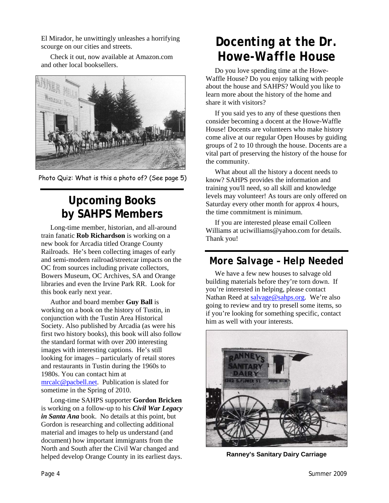El Mirador, he unwittingly unleashes a horrifying scourge on our cities and streets.

Check it out, now available at Amazon.com and other local booksellers.



Photo Quiz: What is this a photo of? (See page 5)

# **Upcoming Books by SAHPS Members**

Long-time member, historian, and all-around train fanatic **Rob Richardson** is working on a new book for Arcadia titled Orange County Railroads. He's been collecting images of early and semi-modern railroad/streetcar impacts on the OC from sources including private collectors, Bowers Museum, OC Archives, SA and Orange libraries and even the Irvine Park RR. Look for this book early next year.

Author and board member **Guy Ball** is working on a book on the history of Tustin, in conjunction with the Tustin Area Historical Society. Also published by Arcadia (as were his first two history books), this book will also follow the standard format with over 200 interesting images with interesting captions. He's still looking for images – particularly of retail stores and restaurants in Tustin during the 1960s to 1980s. You can contact him at [mrcalc@pacbell.net.](mailto:mrcalc@pacbell.net) Publication is slated for sometime in the Spring of 2010.

Long-time SAHPS supporter **Gordon Bricken** is working on a follow-up to his *Civil War Legacy in Santa Ana* book. No details at this point, but Gordon is researching and collecting additional material and images to help us understand (and document) how important immigrants from the North and South after the Civil War changed and helped develop Orange County in its earliest days.

# *Docenting at the Dr. Howe-Waffle House*

Do you love spending time at the Howe-Waffle House? Do you enjoy talking with people about the house and SAHPS? Would you like to learn more about the history of the home and share it with visitors?

If you said yes to any of these questions then consider becoming a docent at the Howe-Waffle House! Docents are volunteers who make history come alive at our regular Open Houses by guiding groups of 2 to 10 through the house. Docents are a vital part of preserving the history of the house for the community.

What about all the history a docent needs to know? SAHPS provides the information and training you'll need, so all skill and knowledge levels may volunteer! As tours are only offered on Saturday every other month for approx 4 hours, the time commitment is minimum.

If you are interested please email Colleen Williams at uciwilliams@yahoo.com for details. Thank you!

## *More Salvage – Help Needed*

We have a few new houses to salvage old building materials before they're torn down. If you're interested in helping, please contact Nathan Reed at [salvage@sahps.org.](mailto:salvage@sahps.org) We're also going to review and try to presell some items, so if you're looking for something specific, contact him as well with your interests.



**Ranney's Sanitary Dairy Carriage**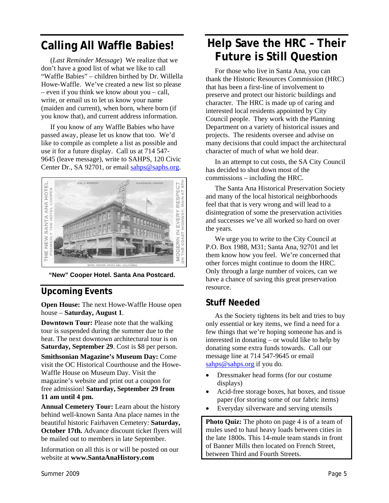# **Calling All Waffle Babies!**

(*Last Reminder Message*) We realize that we don't have a good list of what we like to call "Waffle Babies" – children birthed by Dr. Willella Howe-Waffle. We've created a new list so please – even if you think we know about you – call, write, or email us to let us know your name (maiden and current), when born, where born (if you know that), and current address information.

If you know of any Waffle Babies who have passed away, please let us know that too. We'd like to compile as complete a list as possible and use it for a future display. Call us at 714 547- 9645 (leave message), write to SAHPS, 120 Civic Center Dr., SA 92701, or email [sahps@saphs.org](mailto:sahps@saphs.org).



**"New" Cooper Hotel. Santa Ana Postcard.** 

#### **Upcoming Events**

**Open House:** The next Howe-Waffle House open house – **Saturday, August 1**.

**Downtown Tour:** Please note that the walking tour is suspended during the summer due to the heat. The next downtown architectural tour is on **Saturday, September 29**. Cost is \$8 per person.

**Smithsonian Magazine's Museum Day:** Come visit the OC Historical Courthouse and the Howe-Waffle House on Museum Day. Visit the magazine's website and print out a coupon for free admission! **Saturday, September 29 from 11 am until 4 pm.** 

**Annual Cemetery Tour:** Learn about the history behind well-known Santa Ana place names in the beautiful historic Fairhaven Cemetery: **Saturday, October 17th.** Advance discount ticket flyers will be mailed out to members in late September.

Information on all this is or will be posted on our website at **www.SantaAnaHistory.com**

## **Help Save the HRC – Their Future is Still Question**

For those who live in Santa Ana, you can thank the Historic Resources Commission (HRC) that has been a first-line of involvement to preserve and protect our historic buildings and character. The HRC is made up of caring and interested local residents appointed by City Council people. They work with the Planning Department on a variety of historical issues and projects. The residents oversee and advise on many decisions that could impact the architectural character of much of what we hold dear.

In an attempt to cut costs, the SA City Council has decided to shut down most of the commissions – including the HRC.

The Santa Ana Historical Preservation Society and many of the local historical neighborhoods feel that that is very wrong and will lead to a disintegration of some the preservation activities and successes we've all worked so hard on over the years.

We urge you to write to the City Council at P.O. Box 1988, M31; Santa Ana, 92701 and let them know how you feel. We're concerned that other forces might continue to doom the HRC. Only through a large number of voices, can we have a chance of saving this great preservation resource.

#### **Stuff Needed**

As the Society tightens its belt and tries to buy only essential or key items, we find a need for a few things that we're hoping someone has and is interested in donating – or would like to help by donating some extra funds towards. Call our message line at 714 547-9645 or email [sahps@sahps.org](mailto:sahps@sahps.org) if you do.

- Dressmaker head forms (for our costume displays)
- Acid-free storage boxes, hat boxes, and tissue paper (for storing some of our fabric items)
- Everyday silverware and serving utensils

**Photo Quiz:** The photo on page 4 is of a team of mules used to haul heavy loads between cities in the late 1800s. This 14-mule team stands in front of Banner Mills then located on French Street, between Third and Fourth Streets.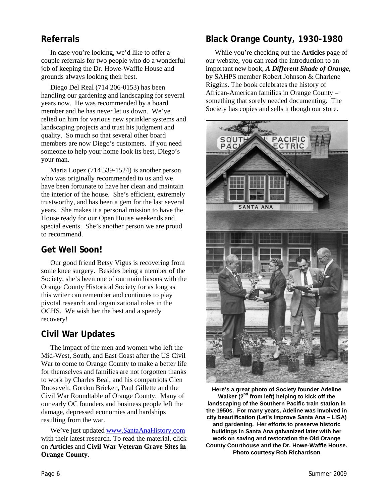In case you're looking, we'd like to offer a couple referrals for two people who do a wonderful job of keeping the Dr. Howe-Waffle House and grounds always looking their best.

Diego Del Real (714 206-0153) has been handling our gardening and landscaping for several years now. He was recommended by a board member and he has never let us down. We've relied on him for various new sprinkler systems and landscaping projects and trust his judgment and quality. So much so that several other board members are now Diego's customers. If you need someone to help your home look its best, Diego's your man.

Maria Lopez (714 539-1524) is another person who was originally recommended to us and we have been fortunate to have her clean and maintain the interior of the house. She's efficient, extremely trustworthy, and has been a gem for the last several years. She makes it a personal mission to have the House ready for our Open House weekends and special events. She's another person we are proud to recommend.

#### **Get Well Soon!**

Our good friend Betsy Vigus is recovering from some knee surgery. Besides being a member of the Society, she's been one of our main liasons with the Orange County Historical Society for as long as this writer can remember and continues to play pivotal research and organizational roles in the OCHS. We wish her the best and a speedy recovery!

#### **Civil War Updates**

The impact of the men and women who left the Mid-West, South, and East Coast after the US Civil War to come to Orange County to make a better life for themselves and families are not forgotten thanks to work by Charles Beal, and his compatriots Glen Roosevelt, Gordon Bricken, Paul Gillette and the Civil War Roundtable of Orange County. Many of our early OC founders and business people left the damage, depressed economies and hardships resulting from the war.

We've just updated [www.SantaAnaHistory.com](http://www.santaanahistory.com/) with their latest research. To read the material, click on **Articles** and **Civil War Veteran Grave Sites in Orange County**.

#### **Referrals Black Orange County, 1930-1980**

While you're checking out the **Articles** page of our website, you can read the introduction to an important new book, *A Different Shade of Orange*, by SAHPS member Robert Johnson & Charlene Riggins. The book celebrates the history of African-American families in Orange County – something that sorely needed documenting. The Society has copies and sells it though our store.



**Here's a great photo of Society founder Adeline**  Walker (2<sup>nd</sup> from left) helping to kick off the **landscaping of the Southern Pacific train station in the 1950s. For many years, Adeline was involved in city beautification (Let's Improve Santa Ana – LISA) and gardening. Her efforts to preserve historic buildings in Santa Ana galvanized later with her work on saving and restoration the Old Orange County Courthouse and the Dr. Howe-Waffle House. Photo courtesy Rob Richardson**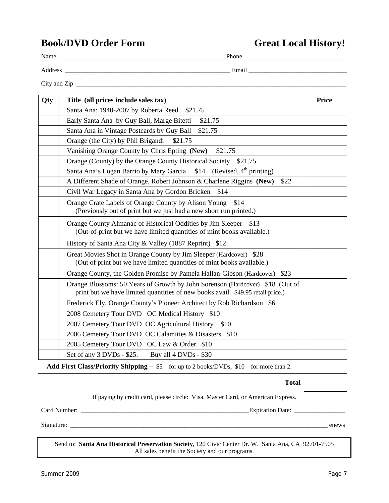### **Book/DVD Order Form Great Local History!**

| Name         | Phone |  |
|--------------|-------|--|
| Address      | Email |  |
| City and Zip |       |  |

| Title (all prices include sales tax)<br>Qty                                                                                                                      | <b>Price</b> |
|------------------------------------------------------------------------------------------------------------------------------------------------------------------|--------------|
| Santa Ana: 1940-2007 by Roberta Reed<br>\$21.75                                                                                                                  |              |
| Early Santa Ana by Guy Ball, Marge Bitetti<br>\$21.75                                                                                                            |              |
| Santa Ana in Vintage Postcards by Guy Ball<br>\$21.75                                                                                                            |              |
| Orange (the City) by Phil Brigandi<br>\$21.75                                                                                                                    |              |
| Vanishing Orange County by Chris Epting (New)<br>\$21.75                                                                                                         |              |
| Orange (County) by the Orange County Historical Society<br>\$21.75                                                                                               |              |
| (Revised, $4th$ printing)<br>Santa Ana's Logan Barrio by Mary Garcia<br>\$14                                                                                     |              |
| A Different Shade of Orange, Robert Johnson & Charlene Riggins (New)<br>\$22                                                                                     |              |
| Civil War Legacy in Santa Ana by Gordon Bricken<br>\$14                                                                                                          |              |
| Orange Crate Labels of Orange County by Alison Young<br>\$14<br>(Previously out of print but we just had a new short run printed.)                               |              |
| Orange County Almanac of Historical Oddities by Jim Sleeper<br>(Out-of-print but we have limited quantities of mint books available.)                            | \$13         |
| History of Santa Ana City & Valley (1887 Reprint) \$12                                                                                                           |              |
| Great Movies Shot in Orange County by Jim Sleeper (Hardcover) \$28<br>(Out of print but we have limited quantities of mint books available.)                     |              |
| Orange County, the Golden Promise by Pamela Hallan-Gibson (Hardcover)                                                                                            | \$23         |
| Orange Blossoms: 50 Years of Growth by John Sorenson (Hardcover) \$18 (Out of<br>print but we have limited quantities of new books avail. \$49.95 retail price.) |              |
| Frederick Ely, Orange County's Pioneer Architect by Rob Richardson \$6                                                                                           |              |
| 2008 Cemetery Tour DVD OC Medical History \$10                                                                                                                   |              |
| 2007 Cemetery Tour DVD OC Agricultural History<br>\$10                                                                                                           |              |
| 2006 Cemetery Tour DVD OC Calamities & Disasters \$10                                                                                                            |              |
| 2005 Cemetery Tour DVD OC Law & Order \$10                                                                                                                       |              |
| Set of any 3 DVDs - \$25.<br>Buy all 4 DVDs - \$30                                                                                                               |              |
| <b>Add First Class/Priority Shipping</b> $-$ \$5 – for up to 2 books/DVDs, \$10 – for more than 2.                                                               |              |

**Total** 

If paying by credit card, please circle: Visa, Master Card, or American Express.

Signature: \_\_\_\_\_\_\_\_\_\_\_\_\_\_\_\_\_\_\_\_\_\_\_\_\_\_\_\_\_\_\_\_\_\_\_\_\_\_\_\_\_\_\_\_\_\_\_\_\_\_\_\_\_\_\_\_\_\_\_\_\_\_\_\_\_\_\_\_\_\_\_\_\_\_\_\_\_\_\_\_\_ enews

Send to: **Santa Ana Historical Preservation Society**, 120 Civic Center Dr. W. Santa Ana, CA 92701-7505 All sales benefit the Society and our programs.

Card Number: \_\_\_\_\_\_\_\_\_\_\_\_\_\_\_\_\_\_\_\_\_\_\_\_\_\_\_\_\_\_\_\_\_\_\_\_\_\_\_\_\_\_\_\_\_\_\_\_\_\_\_\_\_Expiration Date: \_\_\_\_\_\_\_\_\_\_\_\_\_\_\_\_